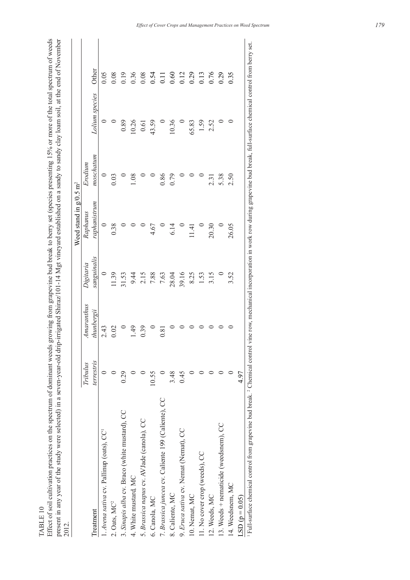TABLE 10 TABLE 10

Effect of soil cultivation practices on the spectrum of dominant weeds growing from grapevine bud break to berry set (species presenting 15% or more of the total spectrum of weeds<br>present in any year of the study were sele Effect of soil cultivation practices on the spectrum of dominant weeds growing from grapevine bud break to berry set (species presenting 15% or more of the total spectrum of weeds present in any year of the study were selected) in a seven-year-old drip-irrigated Shiraz/101-14 Mgt vineyard established on a sandy to sandy clay loam soil, at the end of November

| 2012.                                                                                                                                                                                                                       |            |            |             | Weed stand in $g/0.5$ m <sup>2</sup> |           |                |                |
|-----------------------------------------------------------------------------------------------------------------------------------------------------------------------------------------------------------------------------|------------|------------|-------------|--------------------------------------|-----------|----------------|----------------|
|                                                                                                                                                                                                                             | Tribulus   | Amaranthus | Digitaria   | Raphanus                             | Erodium   |                |                |
| Treatment                                                                                                                                                                                                                   | terrestris | thunbergii | sanguinalis | raphanistrum                         | moschatum | Lolium species | Other          |
| 1. Avena sativa cv. Pallinup (oats), CC'                                                                                                                                                                                    |            | 2.43       | $\circ$     |                                      | $\circ$   |                | 0.05           |
| 2. Oats, MC <sup>2</sup>                                                                                                                                                                                                    |            | 0.02       | 11.39       | 0.38                                 | 0.03      |                | 0.08           |
| 3. Sinapis alba cv. Braco (white mustard), CC                                                                                                                                                                               | 0.29       |            | 31.53       |                                      |           | 0.89           | 0.19           |
| 4. White mustard, MC                                                                                                                                                                                                        |            | 1.49       | 9.44        |                                      | 1.08      | 10.26          | 0.36           |
| 5. Brassica napus cv. AVJade (canola), CC                                                                                                                                                                                   |            | 0.39       | 2.15        |                                      |           | 0.61           | 0.08           |
| 6. Canola, MC                                                                                                                                                                                                               | 10.55      |            | 7.88        | 4.67                                 |           | 43.59          | 0.54           |
| 7. Brassica juncea cv. Caliente 199 (Caliente), CC                                                                                                                                                                          |            | 0.81       | 7.63        |                                      | 0.86      |                | $\overline{0}$ |
| 8. Caliente, MC                                                                                                                                                                                                             | 3.48       |            | 28.04       | 6.14                                 | 0.79      | 10.36          | 0.60           |
| 9. Eruca sativa cv. Nemat (Nemat), CC                                                                                                                                                                                       | 0.45       |            | 39.16       |                                      |           |                | 0.12           |
| 10. Nemat, MC                                                                                                                                                                                                               |            |            | 8.25        | 11.41                                |           | 65.83          | 0.29           |
| 11. No cover crop (weeds), CC                                                                                                                                                                                               |            |            | 1.53        |                                      |           | 1.59           | 0.13           |
| 12. Weeds, MC                                                                                                                                                                                                               |            |            | 3.15        | 20.30                                | 2.31      | 2.52           | 0.76           |
| 13. Weeds + nematicide (weedsnem), CC                                                                                                                                                                                       |            |            |             |                                      | 5.38      |                | 0.29           |
| 14. Weedsnem, MC                                                                                                                                                                                                            |            |            | 3.52        | 26.05                                | 2.50      |                | 0.35           |
| $LSD(p = 0.05)$                                                                                                                                                                                                             | 4.97       |            |             |                                      |           |                |                |
| <sup>1</sup> Full-surface chemical control from grapevine bud break. <sup>2</sup> Chemical control vine row, mechanical incorporation in work row during grapevine bud break, full-surface chemical control from berry set. |            |            |             |                                      |           |                |                |